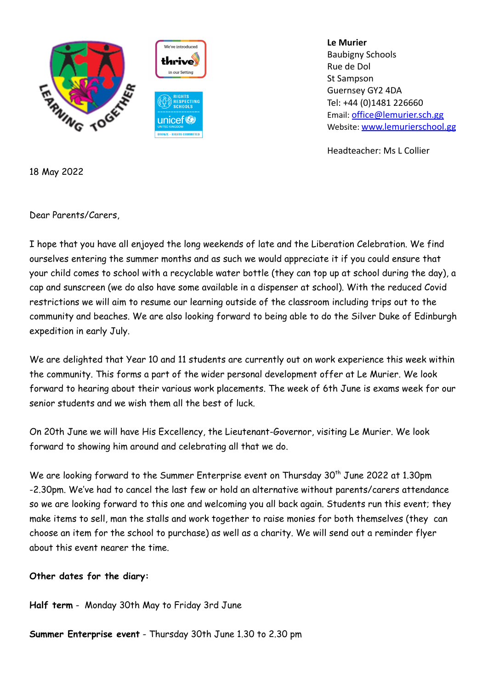

**Le Murier** Baubigny Schools Rue de Dol St Sampson Guernsey GY2 4DA Tel: +44 (0)1481 226660 Email: [office@lemurier.sch.gg](mailto:office@lemurier.sch.gg) Website: [www.lemurierschool.gg](http://www.lemurierschool.gg)

Headteacher: Ms L Collier

18 May 2022

Dear Parents/Carers,

I hope that you have all enjoyed the long weekends of late and the Liberation Celebration. We find ourselves entering the summer months and as such we would appreciate it if you could ensure that your child comes to school with a recyclable water bottle (they can top up at school during the day), a cap and sunscreen (we do also have some available in a dispenser at school). With the reduced Covid restrictions we will aim to resume our learning outside of the classroom including trips out to the community and beaches. We are also looking forward to being able to do the Silver Duke of Edinburgh expedition in early July.

We are delighted that Year 10 and 11 students are currently out on work experience this week within the community. This forms a part of the wider personal development offer at Le Murier. We look forward to hearing about their various work placements. The week of 6th June is exams week for our senior students and we wish them all the best of luck.

On 20th June we will have His Excellency, the Lieutenant-Governor, visiting Le Murier. We look forward to showing him around and celebrating all that we do.

We are looking forward to the Summer Enterprise event on Thursday 30<sup>th</sup> June 2022 at 1.30pm -2.30pm. We've had to cancel the last few or hold an alternative without parents/carers attendance so we are looking forward to this one and welcoming you all back again. Students run this event; they make items to sell, man the stalls and work together to raise monies for both themselves (they can choose an item for the school to purchase) as well as a charity. We will send out a reminder flyer about this event nearer the time.

## **Other dates for the diary:**

**Half term** - Monday 30th May to Friday 3rd June

**Summer Enterprise event** - Thursday 30th June 1.30 to 2.30 pm